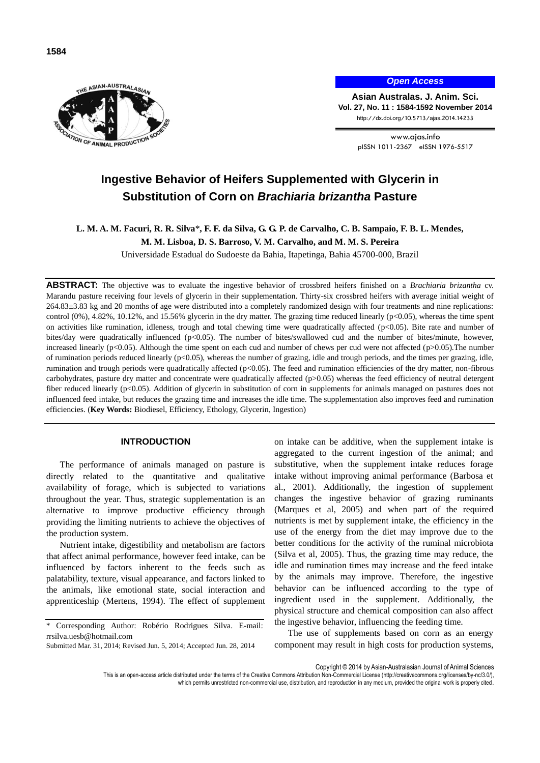



*Open Access*

**Asian Australas. J. Anim. Sci. Vol. 27, No. 11 : 1584-1592 November 2014** http://dx.doi.org/10.5713/ajas.2014.14233

> www.ajas.info pISSN 1011-2367 eISSN 1976-5517

# **Ingestive Behavior of Heifers Supplemented with Glycerin in Substitution of Corn on** *Brachiaria brizantha* **Pasture**

**L. M. A. M. Facuri, R. R. Silva**\***, F. F. da Silva, G. G. P. de Carvalho, C. B. Sampaio, F. B. L. Mendes,** 

**M. M. Lisboa, D. S. Barroso, V. M. Carvalho, and M. M. S. Pereira**

Universidade Estadual do Sudoeste da Bahia, Itapetinga, Bahia 45700-000, Brazil

**ABSTRACT:** The objective was to evaluate the ingestive behavior of crossbred heifers finished on a *Brachiaria brizantha* cv. Marandu pasture receiving four levels of glycerin in their supplementation. Thirty-six crossbred heifers with average initial weight of 264.83±3.83 kg and 20 months of age were distributed into a completely randomized design with four treatments and nine replications: control  $(0\%)$ , 4.82%, 10.12%, and 15.56% glycerin in the dry matter. The grazing time reduced linearly  $(p<0.05)$ , whereas the time spent on activities like rumination, idleness, trough and total chewing time were quadratically affected ( $p<0.05$ ). Bite rate and number of bites/day were quadratically influenced  $(p<0.05)$ . The number of bites/swallowed cud and the number of bites/minute, however, increased linearly (p<0.05). Although the time spent on each cud and number of chews per cud were not affected (p>0.05). The number of rumination periods reduced linearly (p<0.05), whereas the number of grazing, idle and trough periods, and the times per grazing, idle, rumination and trough periods were quadratically affected (p<0.05). The feed and rumination efficiencies of the dry matter, non-fibrous carbohydrates, pasture dry matter and concentrate were quadratically affected (p>0.05) whereas the feed efficiency of neutral detergent fiber reduced linearly (p<0.05). Addition of glycerin in substitution of corn in supplements for animals managed on pastures does not influenced feed intake, but reduces the grazing time and increases the idle time. The supplementation also improves feed and rumination efficiencies. (**Key Words:** Biodiesel, Efficiency, Ethology, Glycerin, Ingestion)

## **INTRODUCTION**

The performance of animals managed on pasture is directly related to the quantitative and qualitative availability of forage, which is subjected to variations throughout the year. Thus, strategic supplementation is an alternative to improve productive efficiency through providing the limiting nutrients to achieve the objectives of the production system.

Nutrient intake, digestibility and metabolism are factors that affect animal performance, however feed intake, can be influenced by factors inherent to the feeds such as palatability, texture, visual appearance, and factors linked to the animals, like emotional state, social interaction and apprenticeship (Mertens, 1994). The effect of supplement

Submitted Mar. 31, 2014; Revised Jun. 5, 2014; Accepted Jun. 28, 2014

on intake can be additive, when the supplement intake is aggregated to the current ingestion of the animal; and substitutive, when the supplement intake reduces forage intake without improving animal performance (Barbosa et al., 2001). Additionally, the ingestion of supplement changes the ingestive behavior of grazing ruminants (Marques et al, 2005) and when part of the required nutrients is met by supplement intake, the efficiency in the use of the energy from the diet may improve due to the better conditions for the activity of the ruminal microbiota (Silva et al, 2005). Thus, the grazing time may reduce, the idle and rumination times may increase and the feed intake by the animals may improve. Therefore, the ingestive behavior can be influenced according to the type of ingredient used in the supplement. Additionally, the physical structure and chemical composition can also affect the ingestive behavior, influencing the feeding time.

The use of supplements based on corn as an energy component may result in high costs for production systems,

Copyright © 2014 by Asian-Australasian Journal of Animal Sciences

This is an open-access article distributed under the terms of the Creative Commons Attribution Non-Commercial License [\(http://creativecommons.org/licenses/by-nc/3.0/\),](http://creativecommons.org/licenses/by-nc/3.0/)

which permits unrestricted non-commercial use, distribution, and reproduction in any medium, provided the original work is properly cited

<sup>\*</sup> Corresponding Author: Robério Rodrigues Silva. E-mail: rrsilva.uesb@hotmail.com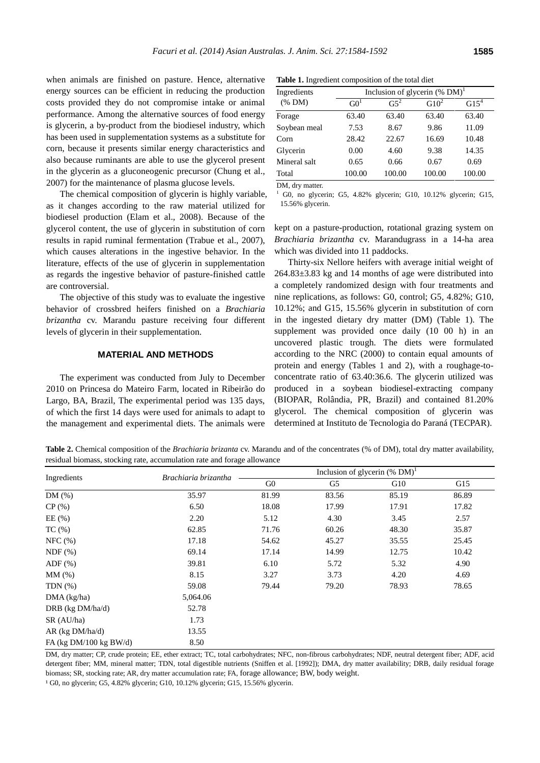when animals are finished on pasture. Hence, alternative energy sources can be efficient in reducing the production costs provided they do not compromise intake or animal performance. Among the alternative sources of food energy is glycerin, a by-product from the biodiesel industry, which has been used in supplementation systems as a substitute for corn, because it presents similar energy characteristics and also because ruminants are able to use the glycerol present in the glycerin as a gluconeogenic precursor (Chung et al., 2007) for the maintenance of plasma glucose levels.

The chemical composition of glycerin is highly variable, as it changes according to the raw material utilized for biodiesel production (Elam et al., 2008). Because of the glycerol content, the use of glycerin in substitution of corn results in rapid ruminal fermentation (Trabue et al., 2007), which causes alterations in the ingestive behavior. In the literature, effects of the use of glycerin in supplementation as regards the ingestive behavior of pasture-finished cattle are controversial.

The objective of this study was to evaluate the ingestive behavior of crossbred heifers finished on a *Brachiaria brizantha* cv. Marandu pasture receiving four different levels of glycerin in their supplementation.

## **MATERIAL AND METHODS**

The experiment was conducted from July to December 2010 on Princesa do Mateiro Farm, located in Ribeirão do Largo, BA, Brazil, The experimental period was 135 days, of which the first 14 days were used for animals to adapt to the management and experimental diets. The animals were

**Table 1.** Ingredient composition of the total diet

| Ingredients  | Inclusion of glycerin $(\%$ DM) <sup>1</sup> |        |         |         |  |  |  |  |
|--------------|----------------------------------------------|--------|---------|---------|--|--|--|--|
| (% M)        | G0 <sup>1</sup>                              | $G5^2$ | $G10^2$ | $G15^4$ |  |  |  |  |
| Forage       | 63.40                                        | 63.40  | 63.40   | 63.40   |  |  |  |  |
| Soybean meal | 7.53                                         | 8.67   | 9.86    | 11.09   |  |  |  |  |
| Corn         | 28.42                                        | 22.67  | 16.69   | 10.48   |  |  |  |  |
| Glycerin     | 0.00                                         | 4.60   | 9.38    | 14.35   |  |  |  |  |
| Mineral salt | 0.65                                         | 0.66   | 0.67    | 0.69    |  |  |  |  |
| Total        | 100.00                                       | 100.00 | 100.00  | 100.00  |  |  |  |  |

DM, dry matter.

 $1$  G0, no glycerin; G5, 4.82% glycerin; G10, 10.12% glycerin; G15, 15.56% glycerin.

kept on a pasture-production, rotational grazing system on *Brachiaria brizantha* cv. Marandugrass in a 14-ha area which was divided into 11 paddocks.

Thirty-six Nellore heifers with average initial weight of 264.83±3.83 kg and 14 months of age were distributed into a completely randomized design with four treatments and nine replications, as follows: G0, control; G5, 4.82%; G10, 10.12%; and G15, 15.56% glycerin in substitution of corn in the ingested dietary dry matter (DM) (Table 1). The supplement was provided once daily (10 00 h) in an uncovered plastic trough. The diets were formulated according to the NRC (2000) to contain equal amounts of protein and energy (Tables 1 and 2), with a roughage-toconcentrate ratio of 63.40:36.6. The glycerin utilized was produced in a soybean biodiesel-extracting company (BIOPAR, Rolândia, PR, Brazil) and contained 81.20% glycerol. The chemical composition of glycerin was determined at Instituto de Tecnologia do Paraná (TECPAR).

**Table 2.** Chemical composition of the *Brachiaria brizanta* cv. Marandu and of the concentrates (% of DM), total dry matter availability, residual biomass, stocking rate, accumulation rate and forage allowance

|                             |                      | Inclusion of glycerin $(\%$ DM) <sup>1</sup> |       |       |       |  |  |  |
|-----------------------------|----------------------|----------------------------------------------|-------|-------|-------|--|--|--|
| Ingredients                 | Brachiaria brizantha | G <sub>0</sub>                               | G5    | G10   | G15   |  |  |  |
| DM(%)                       | 35.97                | 81.99                                        | 83.56 | 85.19 | 86.89 |  |  |  |
| CP(%)                       | 6.50                 | 18.08                                        | 17.99 | 17.91 | 17.82 |  |  |  |
| EE(%)                       | 2.20                 | 5.12                                         | 4.30  | 3.45  | 2.57  |  |  |  |
| $TC$ (%)                    | 62.85                | 71.76                                        | 60.26 | 48.30 | 35.87 |  |  |  |
| NFC (%)                     | 17.18                | 54.62                                        | 45.27 | 35.55 | 25.45 |  |  |  |
| NDF(%)                      | 69.14                | 17.14                                        | 14.99 | 12.75 | 10.42 |  |  |  |
| $ADF$ $(\%)$                | 39.81                | 6.10                                         | 5.72  | 5.32  | 4.90  |  |  |  |
| MM(%)                       | 8.15                 | 3.27                                         | 3.73  | 4.20  | 4.69  |  |  |  |
| TDN $(\%)$                  | 59.08                | 79.44                                        | 79.20 | 78.93 | 78.65 |  |  |  |
| DMA (kg/ha)                 | 5,064.06             |                                              |       |       |       |  |  |  |
| DRB (kg DM/ha/d)            | 52.78                |                                              |       |       |       |  |  |  |
| SR (AU/ha)                  | 1.73                 |                                              |       |       |       |  |  |  |
| $AR$ (kg $DM/ha/d$ )        | 13.55                |                                              |       |       |       |  |  |  |
| FA (kg $DM/100$ kg $BW/d$ ) | 8.50                 |                                              |       |       |       |  |  |  |

DM, dry matter; CP, crude protein; EE, ether extract; TC, total carbohydrates; NFC, non-fibrous carbohydrates; NDF, neutral detergent fiber; ADF, acid detergent fiber; MM, mineral matter; TDN, total digestible nutrients (Sniffen et al. [1992]); DMA, dry matter availability; DRB, daily residual forage biomass; SR, stocking rate; AR, dry matter accumulation rate; FA, forage allowance; BW, body weight.

<sup>1</sup>G0, no glycerin; G5, 4.82% glycerin; G10, 10.12% glycerin; G15, 15.56% glycerin.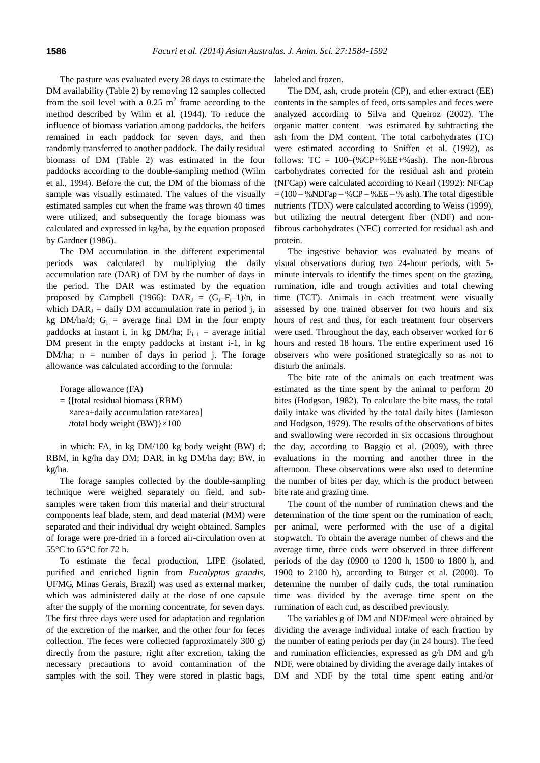The pasture was evaluated every 28 days to estimate the DM availability (Table 2) by removing 12 samples collected from the soil level with a  $0.25 \text{ m}^2$  frame according to the method described by Wilm et al. (1944). To reduce the influence of biomass variation among paddocks, the heifers remained in each paddock for seven days, and then randomly transferred to another paddock. The daily residual biomass of DM (Table 2) was estimated in the four paddocks according to the double-sampling method (Wilm et al., 1994). Before the cut, the DM of the biomass of the sample was visually estimated. The values of the visually estimated samples cut when the frame was thrown 40 times were utilized, and subsequently the forage biomass was calculated and expressed in kg/ha, by the equation proposed by Gardner (1986).

The DM accumulation in the different experimental periods was calculated by multiplying the daily accumulation rate (DAR) of DM by the number of days in the period. The DAR was estimated by the equation proposed by Campbell (1966):  $DAR_i = (G_i-F_i-1)/n$ , in which  $DAR_J =$  daily DM accumulation rate in period j, in kg DM/ha/d;  $G_i$  = average final DM in the four empty paddocks at instant i, in kg DM/ha;  $F_{i-1}$  = average initial DM present in the empty paddocks at instant i-1, in kg DM/ha;  $n =$  number of days in period j. The forage allowance was calculated according to the formula:

Forage allowance (FA)

= {[total residual biomass (RBM) ×area+daily accumulation rate×area] /total body weight  $(BW)$   $\times$  100

in which: FA, in kg DM/100 kg body weight (BW) d; RBM, in kg/ha day DM; DAR, in kg DM/ha day; BW, in kg/ha.

The forage samples collected by the double-sampling technique were weighed separately on field, and subsamples were taken from this material and their structural components leaf blade, stem, and dead material (MM) were separated and their individual dry weight obtained. Samples of forage were pre-dried in a forced air-circulation oven at 55°C to 65°C for 72 h.

To estimate the fecal production, LIPE (isolated, purified and enriched lignin from *Eucalyptus grandis*, UFMG, Minas Gerais, Brazil) was used as external marker, which was administered daily at the dose of one capsule after the supply of the morning concentrate, for seven days. The first three days were used for adaptation and regulation of the excretion of the marker, and the other four for feces collection. The feces were collected (approximately 300 g) directly from the pasture, right after excretion, taking the necessary precautions to avoid contamination of the samples with the soil. They were stored in plastic bags,

labeled and frozen.

The DM, ash, crude protein (CP), and ether extract (EE) contents in the samples of feed, orts samples and feces were analyzed according to Silva and Queiroz (2002). The organic matter content was estimated by subtracting the ash from the DM content. The total carbohydrates (TC) were estimated according to Sniffen et al. (1992), as follows:  $TC = 100-(\%CP+\%EE+\%ash)$ . The non-fibrous carbohydrates corrected for the residual ash and protein (NFCap) were calculated according to Kearl (1992): NFCap  $= (100 - %NDFap - %CP - %EE - %ash).$  The total digestible nutrients (TDN) were calculated according to Weiss (1999), but utilizing the neutral detergent fiber (NDF) and nonfibrous carbohydrates (NFC) corrected for residual ash and protein.

The ingestive behavior was evaluated by means of visual observations during two 24-hour periods, with 5 minute intervals to identify the times spent on the grazing, rumination, idle and trough activities and total chewing time (TCT). Animals in each treatment were visually assessed by one trained observer for two hours and six hours of rest and thus, for each treatment four observers were used. Throughout the day, each observer worked for 6 hours and rested 18 hours. The entire experiment used 16 observers who were positioned strategically so as not to disturb the animals.

The bite rate of the animals on each treatment was estimated as the time spent by the animal to perform 20 bites (Hodgson, 1982). To calculate the bite mass, the total daily intake was divided by the total daily bites (Jamieson and Hodgson, 1979). The results of the observations of bites and swallowing were recorded in six occasions throughout the day, according to Baggio et al. (2009), with three evaluations in the morning and another three in the afternoon. These observations were also used to determine the number of bites per day, which is the product between bite rate and grazing time.

The count of the number of rumination chews and the determination of the time spent on the rumination of each, per animal, were performed with the use of a digital stopwatch. To obtain the average number of chews and the average time, three cuds were observed in three different periods of the day (0900 to 1200 h, 1500 to 1800 h, and 1900 to 2100 h), according to Bürger et al. (2000). To determine the number of daily cuds, the total rumination time was divided by the average time spent on the rumination of each cud, as described previously.

The variables g of DM and NDF/meal were obtained by dividing the average individual intake of each fraction by the number of eating periods per day (in 24 hours). The feed and rumination efficiencies, expressed as g/h DM and g/h NDF, were obtained by dividing the average daily intakes of DM and NDF by the total time spent eating and/or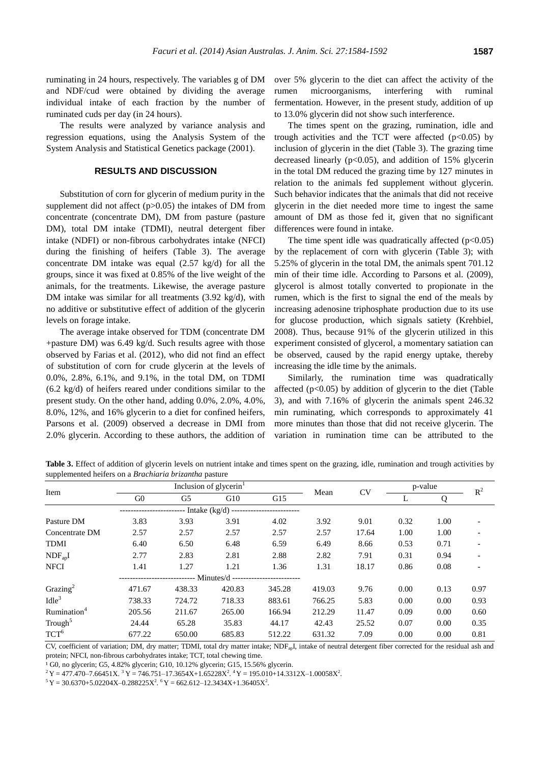ruminating in 24 hours, respectively. The variables g of DM and NDF/cud were obtained by dividing the average individual intake of each fraction by the number of ruminated cuds per day (in 24 hours).

The results were analyzed by variance analysis and regression equations, using the Analysis System of the System Analysis and Statistical Genetics package (2001).

#### **RESULTS AND DISCUSSION**

Substitution of corn for glycerin of medium purity in the supplement did not affect  $(p>0.05)$  the intakes of DM from concentrate (concentrate DM), DM from pasture (pasture DM), total DM intake (TDMI), neutral detergent fiber intake (NDFI) or non-fibrous carbohydrates intake (NFCI) during the finishing of heifers (Table 3). The average concentrate DM intake was equal (2.57 kg/d) for all the groups, since it was fixed at 0.85% of the live weight of the animals, for the treatments. Likewise, the average pasture DM intake was similar for all treatments (3.92 kg/d), with no additive or substitutive effect of addition of the glycerin levels on forage intake.

The average intake observed for TDM (concentrate DM +pasture DM) was 6.49 kg/d. Such results agree with those observed by Farias et al. (2012), who did not find an effect of substitution of corn for crude glycerin at the levels of 0.0%, 2.8%, 6.1%, and 9.1%, in the total DM, on TDMI (6.2 kg/d) of heifers reared under conditions similar to the present study. On the other hand, adding 0.0%, 2.0%, 4.0%, 8.0%, 12%, and 16% glycerin to a diet for confined heifers, Parsons et al. (2009) observed a decrease in DMI from 2.0% glycerin. According to these authors, the addition of over 5% glycerin to the diet can affect the activity of the rumen microorganisms, interfering with ruminal fermentation. However, in the present study, addition of up to 13.0% glycerin did not show such interference.

The times spent on the grazing, rumination, idle and trough activities and the TCT were affected  $(p<0.05)$  by inclusion of glycerin in the diet (Table 3). The grazing time decreased linearly ( $p<0.05$ ), and addition of 15% glycerin in the total DM reduced the grazing time by 127 minutes in relation to the animals fed supplement without glycerin. Such behavior indicates that the animals that did not receive glycerin in the diet needed more time to ingest the same amount of DM as those fed it, given that no significant differences were found in intake.

The time spent idle was quadratically affected  $(p<0.05)$ by the replacement of corn with glycerin (Table 3); with 5.25% of glycerin in the total DM, the animals spent 701.12 min of their time idle. According to Parsons et al. (2009), glycerol is almost totally converted to propionate in the rumen, which is the first to signal the end of the meals by increasing adenosine triphosphate production due to its use for glucose production, which signals satiety (Krehbiel, 2008). Thus, because 91% of the glycerin utilized in this experiment consisted of glycerol, a momentary satiation can be observed, caused by the rapid energy uptake, thereby increasing the idle time by the animals.

Similarly, the rumination time was quadratically affected  $(p<0.05)$  by addition of glycerin to the diet (Table 3), and with 7.16% of glycerin the animals spent 246.32 min ruminating, which corresponds to approximately 41 more minutes than those that did not receive glycerin. The variation in rumination time can be attributed to the

**Table 3.** Effect of addition of glycerin levels on nutrient intake and times spent on the grazing, idle, rumination and trough activities by supplemented heifers on a *Brachiaria brizantha* pasture

| Item                    |                | Inclusion of glycerin <sup>1</sup> |                                  |        |        |       | p-value |      | $R^2$ |
|-------------------------|----------------|------------------------------------|----------------------------------|--------|--------|-------|---------|------|-------|
|                         | G <sub>0</sub> | G5                                 | G10                              | G15    | Mean   | CV    |         | Q    |       |
|                         |                |                                    | -- Intake (kg/d) --------------- |        |        |       |         |      |       |
| Pasture DM              | 3.83           | 3.93                               | 3.91                             | 4.02   | 3.92   | 9.01  | 0.32    | 1.00 |       |
| Concentrate DM          | 2.57           | 2.57                               | 2.57                             | 2.57   | 2.57   | 17.64 | 1.00    | 1.00 |       |
| TDMI                    | 6.40           | 6.50                               | 6.48                             | 6.59   | 6.49   | 8.66  | 0.53    | 0.71 |       |
| $NDF_{ap}I$             | 2.77           | 2.83                               | 2.81                             | 2.88   | 2.82   | 7.91  | 0.31    | 0.94 |       |
| <b>NFCI</b>             | 1.41           | 1.27                               | 1.21                             | 1.36   | 1.31   | 18.17 | 0.86    | 0.08 |       |
|                         |                |                                    | ------ Minutes/d --------        |        |        |       |         |      |       |
| Grazing <sup>2</sup>    | 471.67         | 438.33                             | 420.83                           | 345.28 | 419.03 | 9.76  | 0.00    | 0.13 | 0.97  |
| $I$ dle <sup>3</sup>    | 738.33         | 724.72                             | 718.33                           | 883.61 | 766.25 | 5.83  | 0.00    | 0.00 | 0.93  |
| Rumination <sup>4</sup> | 205.56         | 211.67                             | 265.00                           | 166.94 | 212.29 | 11.47 | 0.09    | 0.00 | 0.60  |
| Trough <sup>5</sup>     | 24.44          | 65.28                              | 35.83                            | 44.17  | 42.43  | 25.52 | 0.07    | 0.00 | 0.35  |
| $TCT^6$                 | 677.22         | 650.00                             | 685.83                           | 512.22 | 631.32 | 7.09  | 0.00    | 0.00 | 0.81  |

CV, coefficient of variation; DM, dry matter; TDMI, total dry matter intake; NDFapI, intake of neutral detergent fiber corrected for the residual ash and protein; NFCI, non-fibrous carbohydrates intake; TCT, total chewing time.

<sup>1</sup>G0, no glycerin; G5, 4.82% glycerin; G10, 10.12% glycerin; G15, 15.56% glycerin.

 $2^2$ Y = 477.470–7.66451X.  $3^3$ Y = 746.751–17.3654X+1.65228X<sup>2</sup>.  $4^4$ Y = 195.010+14.3312X–1.00058X<sup>2</sup>.

 $5Y = 30.6370 + 5.02204X - 0.288225X^2$ .  $6Y = 662.612 - 12.3434X + 1.36405X^2$ .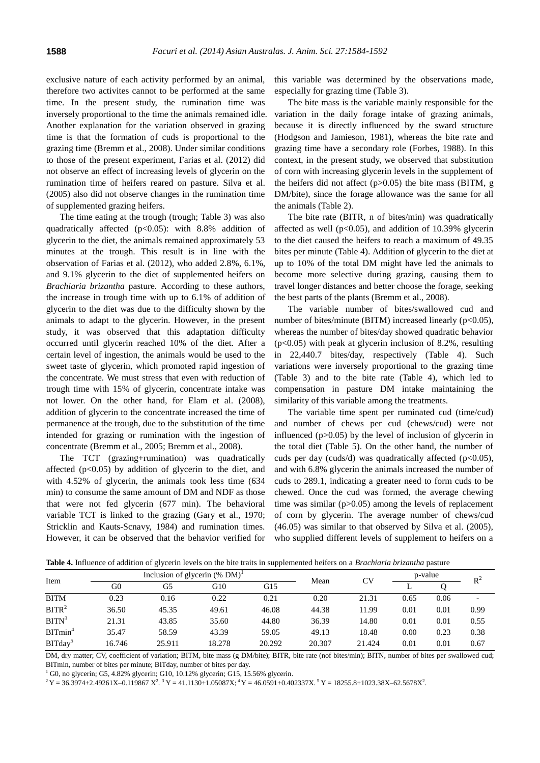exclusive nature of each activity performed by an animal, therefore two activites cannot to be performed at the same time. In the present study, the rumination time was inversely proportional to the time the animals remained idle. Another explanation for the variation observed in grazing time is that the formation of cuds is proportional to the grazing time (Bremm et al., 2008). Under similar conditions to those of the present experiment, Farias et al. (2012) did not observe an effect of increasing levels of glycerin on the rumination time of heifers reared on pasture. Silva et al. (2005) also did not observe changes in the rumination time of supplemented grazing heifers.

The time eating at the trough (trough; Table 3) was also quadratically affected (p<0.05): with 8.8% addition of glycerin to the diet, the animals remained approximately 53 minutes at the trough. This result is in line with the observation of Farias et al. (2012), who added 2.8%, 6.1%, and 9.1% glycerin to the diet of supplemented heifers on *Brachiaria brizantha* pasture. According to these authors, the increase in trough time with up to 6.1% of addition of glycerin to the diet was due to the difficulty shown by the animals to adapt to the glycerin. However, in the present study, it was observed that this adaptation difficulty occurred until glycerin reached 10% of the diet. After a certain level of ingestion, the animals would be used to the sweet taste of glycerin, which promoted rapid ingestion of the concentrate. We must stress that even with reduction of trough time with 15% of glycerin, concentrate intake was not lower. On the other hand, for Elam et al. (2008), addition of glycerin to the concentrate increased the time of permanence at the trough, due to the substitution of the time intended for grazing or rumination with the ingestion of concentrate (Bremm et al., 2005; Bremm et al., 2008).

The TCT (grazing+rumination) was quadratically affected  $(p<0.05)$  by addition of glycerin to the diet, and with 4.52% of glycerin, the animals took less time (634 min) to consume the same amount of DM and NDF as those that were not fed glycerin (677 min). The behavioral variable TCT is linked to the grazing (Gary et al., 1970; Stricklin and Kauts-Scnavy, 1984) and rumination times. However, it can be observed that the behavior verified for this variable was determined by the observations made, especially for grazing time (Table 3).

The bite mass is the variable mainly responsible for the variation in the daily forage intake of grazing animals, because it is directly influenced by the sward structure (Hodgson and Jamieson, 1981), whereas the bite rate and grazing time have a secondary role (Forbes, 1988). In this context, in the present study, we observed that substitution of corn with increasing glycerin levels in the supplement of the heifers did not affect  $(p>0.05)$  the bite mass (BITM, g DM/bite), since the forage allowance was the same for all the animals (Table 2).

The bite rate (BITR, n of bites/min) was quadratically affected as well ( $p<0.05$ ), and addition of 10.39% glycerin to the diet caused the heifers to reach a maximum of 49.35 bites per minute (Table 4). Addition of glycerin to the diet at up to 10% of the total DM might have led the animals to become more selective during grazing, causing them to travel longer distances and better choose the forage, seeking the best parts of the plants (Bremm et al., 2008).

The variable number of bites/swallowed cud and number of bites/minute (BITM) increased linearly ( $p<0.05$ ), whereas the number of bites/day showed quadratic behavior  $(p<0.05)$  with peak at glycerin inclusion of 8.2%, resulting in 22,440.7 bites/day, respectively (Table 4). Such variations were inversely proportional to the grazing time (Table 3) and to the bite rate (Table 4), which led to compensation in pasture DM intake maintaining the similarity of this variable among the treatments.

The variable time spent per ruminated cud (time/cud) and number of chews per cud (chews/cud) were not influenced  $(p>0.05)$  by the level of inclusion of glycerin in the total diet (Table 5). On the other hand, the number of cuds per day (cuds/d) was quadratically affected ( $p<0.05$ ), and with 6.8% glycerin the animals increased the number of cuds to 289.1, indicating a greater need to form cuds to be chewed. Once the cud was formed, the average chewing time was similar  $(p>0.05)$  among the levels of replacement of corn by glycerin. The average number of chews/cud (46.05) was similar to that observed by Silva et al. (2005), who supplied different levels of supplement to heifers on a

**Table 4.** Influence of addition of glycerin levels on the bite traits in supplemented heifers on a *Brachiaria brizantha* pasture

| Item                |        |        | Inclusion of glycerin $(\%$ DM) <sup>1</sup> |        | Mean   | CV     | p-value |      | $R^2$ |
|---------------------|--------|--------|----------------------------------------------|--------|--------|--------|---------|------|-------|
|                     | G0     | G5     | G10                                          | G15    |        |        |         |      |       |
| <b>BITM</b>         | 0.23   | 0.16   | 0.22                                         | 0.21   | 0.20   | 21.31  | 0.65    | 0.06 |       |
| BITR <sup>2</sup>   | 36.50  | 45.35  | 49.61                                        | 46.08  | 44.38  | 11.99  | 0.01    | 0.01 | 0.99  |
| BITN <sup>3</sup>   | 21.31  | 43.85  | 35.60                                        | 44.80  | 36.39  | 14.80  | 0.01    | 0.01 | 0.55  |
| BITmin <sup>4</sup> | 35.47  | 58.59  | 43.39                                        | 59.05  | 49.13  | 18.48  | 0.00    | 0.23 | 0.38  |
| BITday <sup>5</sup> | 16.746 | 25.911 | 18.278                                       | 20.292 | 20.307 | 21.424 | 0.01    | 0.01 | 0.67  |

DM, dry matter; CV, coefficient of variation; BITM, bite mass (g DM/bite); BITR, bite rate (nof bites/min); BITN, number of bites per swallowed cud; BITmin, number of bites per minute; BITday, number of bites per day.

 $1$  G0, no glycerin; G5, 4.82% glycerin; G10, 10.12% glycerin; G15, 15.56% glycerin.

 $2^2$ Y = 36.3974+2.49261X-0.119867 X<sup>2</sup>.  $3$ Y = 41.1130+1.05087X;  $4$ Y = 46.0591+0.402337X.  $5$ Y = 18255.8+1023.38X-62.5678X<sup>2</sup>.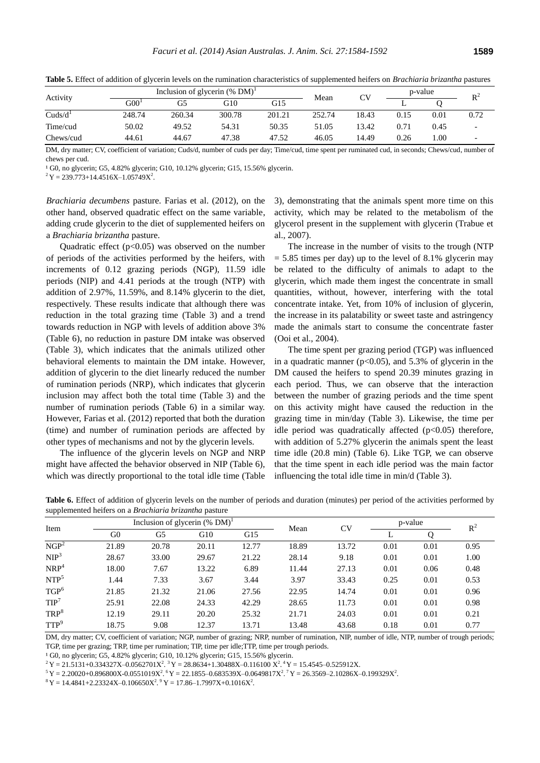| Activity            |                  | Inclusion of glycerin $(\%$ DM) <sup>1</sup> |        |        |        |       | p-value |      | $R^2$                    |
|---------------------|------------------|----------------------------------------------|--------|--------|--------|-------|---------|------|--------------------------|
|                     | G00 <sup>T</sup> | G5                                           | G10    | G15    | Mean   |       |         |      |                          |
| Cuds/d <sup>1</sup> | 248.74           | 260.34                                       | 300.78 | 201.21 | 252.74 | 18.43 | 0.15    | 0.01 | 0.72                     |
| Time/cud            | 50.02            | 49.52                                        | 54.31  | 50.35  | 51.05  | 13.42 | 0.71    | 0.45 | $\overline{\phantom{0}}$ |
| Chews/cud           | 44.61            | 44.67                                        | 47.38  | 47.52  | 46.05  | 14.49 | 0.26    | 1.00 |                          |

**Table 5.** Effect of addition of glycerin levels on the rumination characteristics of supplemented heifers on *Brachiaria brizantha* pastures

DM, dry matter; CV, coefficient of variation; Cuds/d, number of cuds per day; Time/cud, time spent per ruminated cud, in seconds; Chews/cud, number of chews per cud.

<sup>1</sup>G0, no glycerin; G5, 4.82% glycerin; G10, 10.12% glycerin; G15, 15.56% glycerin.

 $2^2$ Y = 239.773+14.4516X-1.05749X<sup>2</sup>.

*Brachiaria decumbens* pasture. Farias et al. (2012), on the other hand, observed quadratic effect on the same variable, adding crude glycerin to the diet of supplemented heifers on a *Brachiaria brizantha* pasture.

Quadratic effect  $(p<0.05)$  was observed on the number of periods of the activities performed by the heifers, with increments of 0.12 grazing periods (NGP), 11.59 idle periods (NIP) and 4.41 periods at the trough (NTP) with addition of 2.97%, 11.59%, and 8.14% glycerin to the diet, respectively. These results indicate that although there was reduction in the total grazing time (Table 3) and a trend towards reduction in NGP with levels of addition above 3% (Table 6), no reduction in pasture DM intake was observed (Table 3), which indicates that the animals utilized other behavioral elements to maintain the DM intake. However, addition of glycerin to the diet linearly reduced the number of rumination periods (NRP), which indicates that glycerin inclusion may affect both the total time (Table 3) and the number of rumination periods (Table 6) in a similar way. However, Farias et al. (2012) reported that both the duration (time) and number of rumination periods are affected by other types of mechanisms and not by the glycerin levels.

The influence of the glycerin levels on NGP and NRP might have affected the behavior observed in NIP (Table 6), which was directly proportional to the total idle time (Table

3), demonstrating that the animals spent more time on this activity, which may be related to the metabolism of the glycerol present in the supplement with glycerin (Trabue et al., 2007).

The increase in the number of visits to the trough (NTP  $= 5.85$  times per day) up to the level of 8.1% glycerin may be related to the difficulty of animals to adapt to the glycerin, which made them ingest the concentrate in small quantities, without, however, interfering with the total concentrate intake. Yet, from 10% of inclusion of glycerin, the increase in its palatability or sweet taste and astringency made the animals start to consume the concentrate faster (Ooi et al., 2004).

The time spent per grazing period (TGP) was influenced in a quadratic manner ( $p<0.05$ ), and 5.3% of glycerin in the DM caused the heifers to spend 20.39 minutes grazing in each period. Thus, we can observe that the interaction between the number of grazing periods and the time spent on this activity might have caused the reduction in the grazing time in min/day (Table 3). Likewise, the time per idle period was quadratically affected  $(p<0.05)$  therefore, with addition of 5.27% glycerin the animals spent the least time idle (20.8 min) (Table 6). Like TGP, we can observe that the time spent in each idle period was the main factor influencing the total idle time in min/d (Table 3).

**Table 6.** Effect of addition of glycerin levels on the number of periods and duration (minutes) per period of the activities performed by supplemented heifers on a *Brachiaria brizantha* pasture

| Item                      |                |       | Inclusion of glycerin $(\%$ DM) <sup>1</sup> |       | Mean  | CV    |      | p-value |       |  |
|---------------------------|----------------|-------|----------------------------------------------|-------|-------|-------|------|---------|-------|--|
|                           | G <sub>0</sub> | G5    | G10                                          | G15   |       |       | ⊷    |         | $R^2$ |  |
| $\overline{\text{NGP}^2}$ | 21.89          | 20.78 | 20.11                                        | 12.77 | 18.89 | 13.72 | 0.01 | 0.01    | 0.95  |  |
| NIP <sup>3</sup>          | 28.67          | 33.00 | 29.67                                        | 21.22 | 28.14 | 9.18  | 0.01 | 0.01    | 1.00  |  |
| NRP <sup>4</sup>          | 18.00          | 7.67  | 13.22                                        | 6.89  | 11.44 | 27.13 | 0.01 | 0.06    | 0.48  |  |
| NTP <sup>5</sup>          | 1.44           | 7.33  | 3.67                                         | 3.44  | 3.97  | 33.43 | 0.25 | 0.01    | 0.53  |  |
| TGP <sup>6</sup>          | 21.85          | 21.32 | 21.06                                        | 27.56 | 22.95 | 14.74 | 0.01 | 0.01    | 0.96  |  |
| TIP <sup>7</sup>          | 25.91          | 22.08 | 24.33                                        | 42.29 | 28.65 | 11.73 | 0.01 | 0.01    | 0.98  |  |
| TRP <sup>8</sup>          | 12.19          | 29.11 | 20.20                                        | 25.32 | 21.71 | 24.03 | 0.01 | 0.01    | 0.21  |  |
| TTP <sup>9</sup>          | 18.75          | 9.08  | 12.37                                        | 13.71 | 13.48 | 43.68 | 0.18 | 0.01    | 0.77  |  |

DM, dry matter; CV, coefficient of variation; NGP, number of grazing; NRP, number of rumination, NIP, number of idle, NTP, number of trough periods; TGP, time per grazing; TRP, time per rumination; TIP, time per idle;TTP, time per trough periods.

<sup>1</sup>G0, no glycerin; G5, 4.82% glycerin; G10, 10.12% glycerin; G15, 15.56% glycerin.

 $2^2$ Y = 21.5131+0.334327X-0.0562701X<sup>2</sup>.  $3$ Y = 28.8634+1.30488X-0.116100 X<sup>2</sup>. <sup>4</sup>Y = 15.4545-0.525912X.

 $5Y = 2.20020 + 0.896800X - 0.0551019X^2$ .  $6Y = 22.1855 - 0.683539X - 0.0649817X^2$ .  $7Y = 26.3569 - 2.10286X - 0.199329X^2$ .

 $8 Y = 14.4841 + 2.23324X - 0.106650X^2$ .  $Y = 17.86 - 1.7997X + 0.1016X^2$ .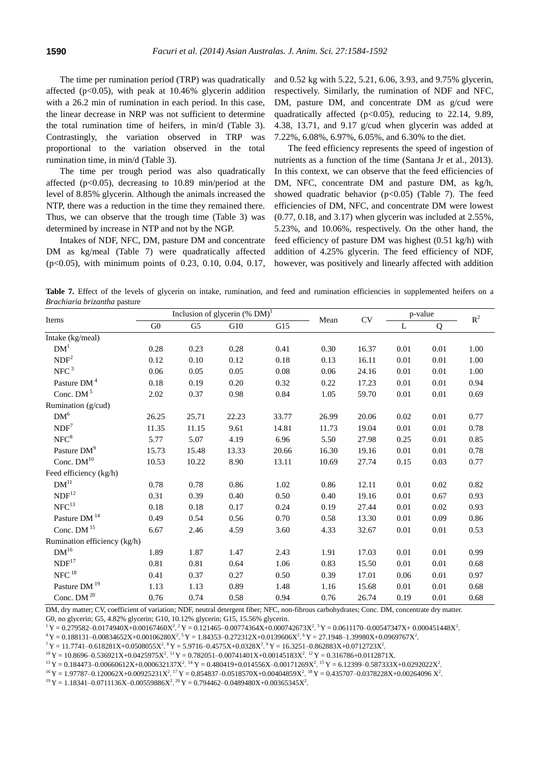The time per rumination period (TRP) was quadratically affected ( $p<0.05$ ), with peak at 10.46% glycerin addition with a 26.2 min of rumination in each period. In this case, the linear decrease in NRP was not sufficient to determine the total rumination time of heifers, in min/d (Table 3). Contrastingly, the variation observed in TRP was proportional to the variation observed in the total rumination time, in min/d (Table 3).

The time per trough period was also quadratically affected ( $p<0.05$ ), decreasing to 10.89 min/period at the level of 8.85% glycerin. Although the animals increased the NTP, there was a reduction in the time they remained there. Thus, we can observe that the trough time (Table 3) was determined by increase in NTP and not by the NGP.

Intakes of NDF, NFC, DM, pasture DM and concentrate DM as kg/meal (Table 7) were quadratically affected (p<0.05), with minimum points of 0.23, 0.10, 0.04, 0.17, and 0.52 kg with 5.22, 5.21, 6.06, 3.93, and 9.75% glycerin, respectively. Similarly, the rumination of NDF and NFC, DM, pasture DM, and concentrate DM as g/cud were quadratically affected (p<0.05), reducing to 22.14, 9.89, 4.38, 13.71, and 9.17 g/cud when glycerin was added at 7.22%, 6.08%, 6.97%, 6.05%, and 6.30% to the diet.

The feed efficiency represents the speed of ingestion of nutrients as a function of the time (Santana Jr et al., 2013). In this context, we can observe that the feed efficiencies of DM, NFC, concentrate DM and pasture DM, as kg/h, showed quadratic behavior  $(p<0.05)$  (Table 7). The feed efficiencies of DM, NFC, and concentrate DM were lowest (0.77, 0.18, and 3.17) when glycerin was included at 2.55%, 5.23%, and 10.06%, respectively. On the other hand, the feed efficiency of pasture DM was highest (0.51 kg/h) with addition of 4.25% glycerin. The feed efficiency of NDF, however, was positively and linearly affected with addition

Table 7. Effect of the levels of glycerin on intake, rumination, and feed and rumination efficiencies in supplemented heifers on a *Brachiaria brizantha* pasture

| Items                        | Inclusion of glycerin $(\%$ DM) <sup>1</sup> |                |       | Mean     | $\mathrm{CV}$ | p-value |          | $\mathbb{R}^2$ |      |
|------------------------------|----------------------------------------------|----------------|-------|----------|---------------|---------|----------|----------------|------|
|                              | G <sub>0</sub>                               | G <sub>5</sub> | G10   | G15      |               |         | L        | Q              |      |
| Intake (kg/meal)             |                                              |                |       |          |               |         |          |                |      |
| DM <sup>1</sup>              | 0.28                                         | 0.23           | 0.28  | 0.41     | 0.30          | 16.37   | 0.01     | 0.01           | 1.00 |
| NDF <sup>2</sup>             | 0.12                                         | 0.10           | 0.12  | 0.18     | 0.13          | 16.11   | 0.01     | 0.01           | 1.00 |
| NFC <sup>3</sup>             | 0.06                                         | 0.05           | 0.05  | $0.08\,$ | 0.06          | 24.16   | 0.01     | 0.01           | 1.00 |
| Pasture DM <sup>4</sup>      | 0.18                                         | 0.19           | 0.20  | 0.32     | 0.22          | 17.23   | 0.01     | 0.01           | 0.94 |
| Conc. DM <sup>5</sup>        | 2.02                                         | 0.37           | 0.98  | 0.84     | 1.05          | 59.70   | $0.01\,$ | $0.01\,$       | 0.69 |
| Rumination (g/cud)           |                                              |                |       |          |               |         |          |                |      |
| DM <sup>6</sup>              | 26.25                                        | 25.71          | 22.23 | 33.77    | 26.99         | 20.06   | 0.02     | 0.01           | 0.77 |
| NDF <sup>7</sup>             | 11.35                                        | 11.15          | 9.61  | 14.81    | 11.73         | 19.04   | 0.01     | 0.01           | 0.78 |
| NFC <sup>8</sup>             | 5.77                                         | 5.07           | 4.19  | 6.96     | 5.50          | 27.98   | 0.25     | 0.01           | 0.85 |
| Pasture DM <sup>9</sup>      | 15.73                                        | 15.48          | 13.33 | 20.66    | 16.30         | 19.16   | 0.01     | 0.01           | 0.78 |
| Conc. $DM10$                 | 10.53                                        | 10.22          | 8.90  | 13.11    | 10.69         | 27.74   | 0.15     | 0.03           | 0.77 |
| Feed efficiency (kg/h)       |                                              |                |       |          |               |         |          |                |      |
| DM <sup>11</sup>             | 0.78                                         | 0.78           | 0.86  | 1.02     | 0.86          | 12.11   | 0.01     | 0.02           | 0.82 |
| NDF <sup>12</sup>            | 0.31                                         | 0.39           | 0.40  | 0.50     | 0.40          | 19.16   | 0.01     | 0.67           | 0.93 |
| NFC <sup>13</sup>            | 0.18                                         | $0.18\,$       | 0.17  | 0.24     | 0.19          | 27.44   | 0.01     | 0.02           | 0.93 |
| Pasture DM <sup>14</sup>     | 0.49                                         | 0.54           | 0.56  | 0.70     | 0.58          | 13.30   | 0.01     | 0.09           | 0.86 |
| Conc. $DM$ <sup>15</sup>     | 6.67                                         | 2.46           | 4.59  | 3.60     | 4.33          | 32.67   | 0.01     | 0.01           | 0.53 |
| Rumination efficiency (kg/h) |                                              |                |       |          |               |         |          |                |      |
| DM <sup>16</sup>             | 1.89                                         | 1.87           | 1.47  | 2.43     | 1.91          | 17.03   | 0.01     | 0.01           | 0.99 |
| NDF <sup>17</sup>            | 0.81                                         | 0.81           | 0.64  | 1.06     | 0.83          | 15.50   | 0.01     | 0.01           | 0.68 |
| $\rm{NFC}$ $^{18}$           | 0.41                                         | 0.37           | 0.27  | 0.50     | 0.39          | 17.01   | 0.06     | 0.01           | 0.97 |
| Pasture DM <sup>19</sup>     | 1.13                                         | 1.13           | 0.89  | 1.48     | 1.16          | 15.68   | 0.01     | 0.01           | 0.68 |
| Conc. DM $20$                | 0.76                                         | 0.74           | 0.58  | 0.94     | 0.76          | 26.74   | 0.19     | 0.01           | 0.68 |

DM, dry matter; CV, coefficient of variation; NDF, neutral detergent fiber; NFC, non-fibrous carbohydrates; Conc. DM, concentrate dry matter. G0, no glycerin; G5, 4.82% glycerin; G10, 10.12% glycerin; G15, 15.56% glycerin.

 $1 Y = 0.279582 - 0.0174940X + 0.00167460X^2$ .  $2 Y = 0.121465 - 0.00774364X + 0.000742673X^2$ .  $3 Y = 0.0611170 - 0.00547347X + 0.000451448X^2$ .

 $4Y = 0.188131 - 0.00834652X + 0.00106280X^2$ .  $5Y = 1.84353 - 0.272312X + 0.0139606X^2$ .  $6Y = 27.1948 - 1.39980X + 0.0969767X^2$ .

 $7Y = 11.7741 - 0.618281X + 0.0508055X^2$ .  $8Y = 5.9716 - 0.4575X + 0.0328X^2$ .  $9Y = 16.3251 - 0.862883X + 0.0712723X^2$ .

 ${}^{10}$ Y = 10.8696-0.536921X+0.0425975X<sup>2</sup>. <sup>11</sup>Y = 0.782051-0.00741401X+0.00145183X<sup>2</sup>. <sup>12</sup>Y = 0.316786+0.0112871X.

 $^{13}$  Y = 0.184473-0.00660612X+0.000632137X<sup>2</sup>. <sup>14</sup> Y = 0.480419+0.014556X-0.00171269X<sup>2</sup>. <sup>15</sup> Y = 6.12399-0.587333X+0.0292022X<sup>2</sup>.

 $16Y = 1.97787 - 0.120062X + 0.00925231X^2$ .  $17Y = 0.854837 - 0.0518570X + 0.00404859X^2$ .  $18Y = 0.435707 - 0.0378228X + 0.00264096X^2$ .

 $^{19}Y = 1.18341 - 0.0711136X - 0.00559886X^2$ .  $^{20}Y = 0.794462 - 0.0489480X + 0.00365345X^2$ .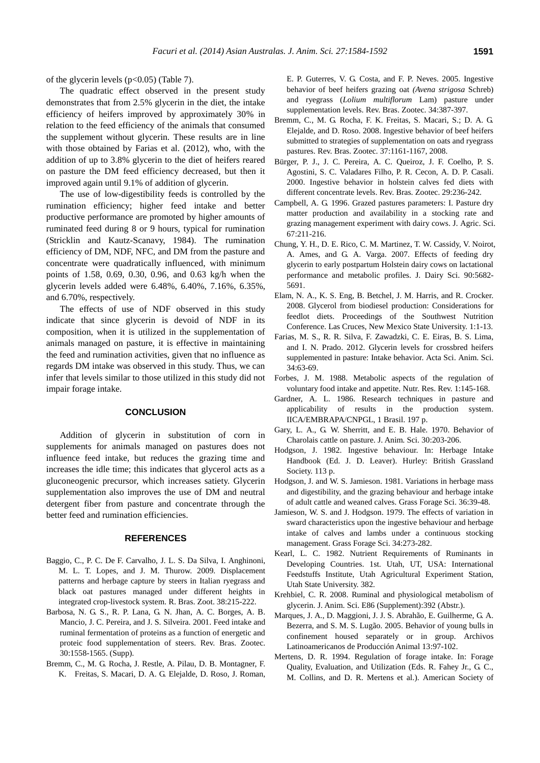of the glycerin levels  $(p<0.05)$  (Table 7).

The quadratic effect observed in the present study demonstrates that from 2.5% glycerin in the diet, the intake efficiency of heifers improved by approximately 30% in relation to the feed efficiency of the animals that consumed the supplement without glycerin. These results are in line with those obtained by Farias et al. (2012), who, with the addition of up to 3.8% glycerin to the diet of heifers reared on pasture the DM feed efficiency decreased, but then it improved again until 9.1% of addition of glycerin.

The use of low-digestibility feeds is controlled by the rumination efficiency; higher feed intake and better productive performance are promoted by higher amounts of ruminated feed during 8 or 9 hours, typical for rumination (Stricklin and Kautz-Scanavy, 1984). The rumination efficiency of DM, NDF, NFC, and DM from the pasture and concentrate were quadratically influenced, with minimum points of 1.58, 0.69, 0.30, 0.96, and 0.63 kg/h when the glycerin levels added were 6.48%, 6.40%, 7.16%, 6.35%, and 6.70%, respectively.

The effects of use of NDF observed in this study indicate that since glycerin is devoid of NDF in its composition, when it is utilized in the supplementation of animals managed on pasture, it is effective in maintaining the feed and rumination activities, given that no influence as regards DM intake was observed in this study. Thus, we can infer that levels similar to those utilized in this study did not impair forage intake.

### **CONCLUSION**

Addition of glycerin in substitution of corn in supplements for animals managed on pastures does not influence feed intake, but reduces the grazing time and increases the idle time; this indicates that glycerol acts as a gluconeogenic precursor, which increases satiety. Glycerin supplementation also improves the use of DM and neutral detergent fiber from pasture and concentrate through the better feed and rumination efficiencies.

#### **REFERENCES**

- Baggio, C., P. C. De F. Carvalho, J. L. S. Da Silva, I. Anghinoni, M. L. T. Lopes, and J. M. Thurow. 2009. Displacement patterns and herbage capture by steers in Italian ryegrass and black oat pastures managed under different heights in integrated crop-livestock system. R. Bras. Zoot. 38:215-222.
- Barbosa, N. G. S., R. P. Lana, G. N. Jhan, A. C. Borges, A. B. Mancio, J. C. Pereira, and J. S. Silveira. 2001. Feed intake and ruminal fermentation of proteins as a function of energetic and proteic food supplementation of steers. Rev. Bras. Zootec. 30:1558-1565. (Supp).
- Bremm, C., M. G. Rocha, J. Restle, A. Pilau, D. B. Montagner, F. K. Freitas, S. Macari, D. A. G. Elejalde, D. Roso, J. Roman,

E. P. Guterres, V. G. Costa, and F. P. Neves. 2005. Ingestive behavior of beef heifers grazing oat *(Avena strigosa* Schreb) and ryegrass (*Lolium multiflorum* Lam) pasture under supplementation levels. Rev. Bras. Zootec. 34:387-397.

- Bremm, C., M. G. Rocha, F. K. Freitas, S. Macari, S.; D. A. G. Elejalde, and D. Roso. 2008. Ingestive behavior of beef heifers submitted to strategies of supplementation on oats and ryegrass pastures. Rev. Bras. Zootec. 37:1161-1167, 2008.
- Bürger, P. J., J. C. Pereira, A. C. Queiroz, J. F. Coelho, P. S. Agostini, S. C. Valadares Filho, P. R. Cecon, A. D. P. Casali. 2000. Ingestive behavior in holstein calves fed diets with different concentrate levels. Rev. Bras. Zootec. 29:236-242.
- Campbell, A. G. 1996. [Grazed pastures parameters: I. Pasture dry](http://journals.cambridge.org/action/displayAbstract?fromPage=online&aid=4789660&fileId=S0021859600068283)  [matter production and availability in a stocking rate and](http://journals.cambridge.org/action/displayAbstract?fromPage=online&aid=4789660&fileId=S0021859600068283)  [grazing management experiment with dairy cows.](http://journals.cambridge.org/action/displayAbstract?fromPage=online&aid=4789660&fileId=S0021859600068283) J. Agric. Sci. 67:211-216.
- Chung, Y. H., D. E. Rico, C. M. Martinez, T. W. Cassidy, V. Noirot, A. Ames, and G. A. Varga. 2007. [Effects of feeding dry](http://www.sciencedirect.com/science/article/pii/S0022030207720428)  [glycerin to early postpartum Holstein dairy cows on lactational](http://www.sciencedirect.com/science/article/pii/S0022030207720428)  [performance and metabolic profiles.](http://www.sciencedirect.com/science/article/pii/S0022030207720428) J. Dairy Sci. 90:5682- 5691.
- Elam, N. A., K. S. Eng, B. Betchel, J. M. Harris, and R. Crocker. 2008. Glycerol from biodiesel production: Considerations for feedlot diets. Proceedings of the Southwest Nutrition Conference. Las Cruces, New Mexico State University. 1:1-13.
- Farias, M. S., R. R. Silva, F. Zawadzki, C. E. Eiras, B. S. Lima, and I. N. Prado. 2012. [Glycerin levels for crossbred heifers](http://www.scielo.br/pdf/asas/v34n1/a10v34n1.pdf)  [supplemented in pasture: Intake behavior.](http://www.scielo.br/pdf/asas/v34n1/a10v34n1.pdf) Acta Sci. Anim. Sci. 34:63-69.
- Forbes, J. M. 1988. [Metabolic aspects of the regulation of](http://journals.cambridge.org/action/displayAbstract?fromPage=online&aid=592236&fileId=S0954422488000137)  [voluntary food intake and appetite.](http://journals.cambridge.org/action/displayAbstract?fromPage=online&aid=592236&fileId=S0954422488000137) Nutr. Res. Rev. 1:145-168.
- Gardner, A. L. 1986. Research techniques in pasture and applicability of results in the production system. IICA/EMBRAPA/CNPGL, 1 Brasil. 197 p.
- Gary, L. A., G. W. Sherritt, and E. B. Hale. 1970. [Behavior of](http://www.journalofanimalscience.org/content/30/2/203.short)  [Charolais cattle on pasture.](http://www.journalofanimalscience.org/content/30/2/203.short) J. Anim. Sci. 30:203-206.
- Hodgson, J. 1982. Ingestive behaviour. In: Herbage Intake Handbook (Ed. J. D. Leaver). Hurley: British Grassland Society. 113 p.
- Hodgson, J. and W. S. Jamieson. 1981. [Variations in herbage mass](http://onlinelibrary.wiley.com/doi/10.1111/j.1365-2494.1981.tb01537.x/abstract;jsessionid=869F3F09266F3800EAB512B44EDCCF29.f01t04?deniedAccessCustomisedMessage=&userIsAuthenticated=false)  [and digestibility, and the grazing behaviour and herbage intake](http://onlinelibrary.wiley.com/doi/10.1111/j.1365-2494.1981.tb01537.x/abstract;jsessionid=869F3F09266F3800EAB512B44EDCCF29.f01t04?deniedAccessCustomisedMessage=&userIsAuthenticated=false)  [of adult cattle and weaned calves.](http://onlinelibrary.wiley.com/doi/10.1111/j.1365-2494.1981.tb01537.x/abstract;jsessionid=869F3F09266F3800EAB512B44EDCCF29.f01t04?deniedAccessCustomisedMessage=&userIsAuthenticated=false) Grass Forage Sci. 36:39-48.
- Jamieson, W. S. and J. Hodgson. 1979. [The effects of variation in](http://onlinelibrary.wiley.com/doi/10.1111/j.1365-2494.1979.tb01479.x/abstract)  [sward characteristics upon the ingestive behaviour and herbage](http://onlinelibrary.wiley.com/doi/10.1111/j.1365-2494.1979.tb01479.x/abstract)  [intake of calves and lambs under a continuous stocking](http://onlinelibrary.wiley.com/doi/10.1111/j.1365-2494.1979.tb01479.x/abstract)  [management.](http://onlinelibrary.wiley.com/doi/10.1111/j.1365-2494.1979.tb01479.x/abstract) Grass Forage Sci. 34:273-282.
- Kearl, L. C. 1982. Nutrient Requirements of Ruminants in Developing Countries. 1st. Utah, UT, USA: International Feedstuffs Institute, Utah Agricultural Experiment Station, Utah State University. 382.
- Krehbiel, C. R. 2008. Ruminal and physiological metabolism of glycerin. J. Anim. Sci. E86 (Supplement):392 (Abstr.).
- Marques, J. A., D. Maggioni, J. J. S. Abrahão, E. Guilherme, G. A. Bezerra, and S. M. S. Lugão. 2005. Behavior of young bulls in confinement housed separately or in group. Archivos Latinoamericanos de Producción Animal 13:97-102.
- Mertens, D. R. 1994. Regulation of forage intake. In: Forage Quality, Evaluation, and Utilization (Eds. R. Fahey Jr., G. C., M. Collins, and D. R. Mertens et al.). American Society of